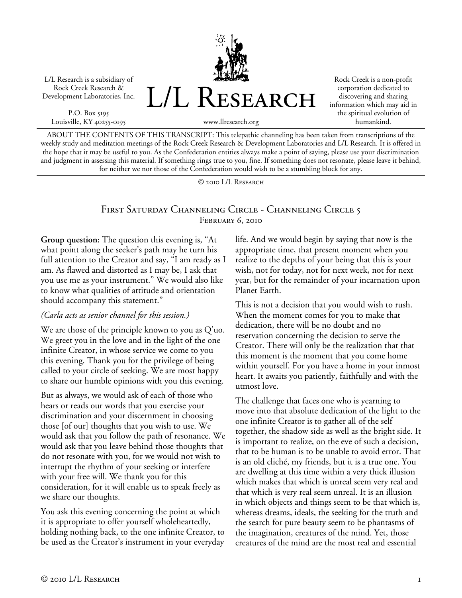L/L Research is a subsidiary of Rock Creek Research & Development Laboratories, Inc.

P.O. Box 5195 Louisville, KY 40255-0195 L/L RESEARCH

Rock Creek is a non-profit corporation dedicated to discovering and sharing information which may aid in the spiritual evolution of humankind.

www.llresearch.org

ABOUT THE CONTENTS OF THIS TRANSCRIPT: This telepathic channeling has been taken from transcriptions of the weekly study and meditation meetings of the Rock Creek Research & Development Laboratories and L/L Research. It is offered in the hope that it may be useful to you. As the Confederation entities always make a point of saying, please use your discrimination and judgment in assessing this material. If something rings true to you, fine. If something does not resonate, please leave it behind, for neither we nor those of the Confederation would wish to be a stumbling block for any.

© 2010 L/L Research

# First Saturday Channeling Circle - Channeling Circle 5 February 6, 2010

**Group question:** The question this evening is, "At what point along the seeker's path may he turn his full attention to the Creator and say, "I am ready as I am. As flawed and distorted as I may be, I ask that you use me as your instrument." We would also like to know what qualities of attitude and orientation should accompany this statement."

#### *(Carla acts as senior channel for this session.)*

We are those of the principle known to you as Q'uo. We greet you in the love and in the light of the one infinite Creator, in whose service we come to you this evening. Thank you for the privilege of being called to your circle of seeking. We are most happy to share our humble opinions with you this evening.

But as always, we would ask of each of those who hears or reads our words that you exercise your discrimination and your discernment in choosing those [of our] thoughts that you wish to use. We would ask that you follow the path of resonance. We would ask that you leave behind those thoughts that do not resonate with you, for we would not wish to interrupt the rhythm of your seeking or interfere with your free will. We thank you for this consideration, for it will enable us to speak freely as we share our thoughts.

You ask this evening concerning the point at which it is appropriate to offer yourself wholeheartedly, holding nothing back, to the one infinite Creator, to be used as the Creator's instrument in your everyday life. And we would begin by saying that now is the appropriate time, that present moment when you realize to the depths of your being that this is your wish, not for today, not for next week, not for next year, but for the remainder of your incarnation upon Planet Earth.

This is not a decision that you would wish to rush. When the moment comes for you to make that dedication, there will be no doubt and no reservation concerning the decision to serve the Creator. There will only be the realization that that this moment is the moment that you come home within yourself. For you have a home in your inmost heart. It awaits you patiently, faithfully and with the utmost love.

The challenge that faces one who is yearning to move into that absolute dedication of the light to the one infinite Creator is to gather all of the self together, the shadow side as well as the bright side. It is important to realize, on the eve of such a decision, that to be human is to be unable to avoid error. That is an old cliché, my friends, but it is a true one. You are dwelling at this time within a very thick illusion which makes that which is unreal seem very real and that which is very real seem unreal. It is an illusion in which objects and things seem to be that which is, whereas dreams, ideals, the seeking for the truth and the search for pure beauty seem to be phantasms of the imagination, creatures of the mind. Yet, those creatures of the mind are the most real and essential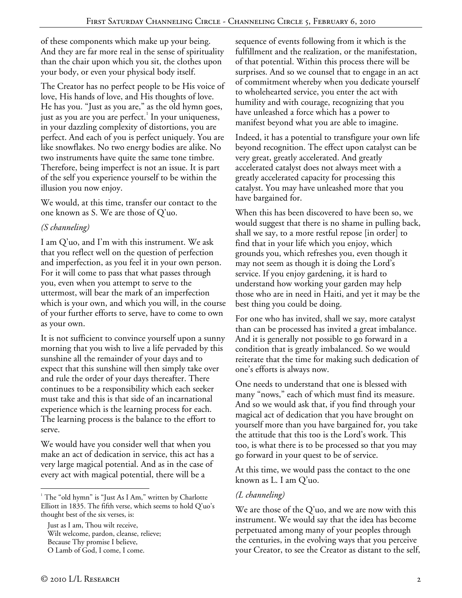of these components which make up your being. And they are far more real in the sense of spirituality than the chair upon which you sit, the clothes upon your body, or even your physical body itself.

The Creator has no perfect people to be His voice of love, His hands of love, and His thoughts of love. He has you. "Just as you are," as the old hymn goes, just as you are you are perfect. $^1$  In your uniqueness, in your dazzling complexity of distortions, you are perfect. And each of you is perfect uniquely. You are like snowflakes. No two energy bodies are alike. No two instruments have quite the same tone timbre. Therefore, being imperfect is not an issue. It is part of the self you experience yourself to be within the illusion you now enjoy.

We would, at this time, transfer our contact to the one known as S. We are those of Q'uo.

## *(S channeling)*

I am Q'uo, and I'm with this instrument. We ask that you reflect well on the question of perfection and imperfection, as you feel it in your own person. For it will come to pass that what passes through you, even when you attempt to serve to the uttermost, will bear the mark of an imperfection which is your own, and which you will, in the course of your further efforts to serve, have to come to own as your own.

It is not sufficient to convince yourself upon a sunny morning that you wish to live a life pervaded by this sunshine all the remainder of your days and to expect that this sunshine will then simply take over and rule the order of your days thereafter. There continues to be a responsibility which each seeker must take and this is that side of an incarnational experience which is the learning process for each. The learning process is the balance to the effort to serve.

We would have you consider well that when you make an act of dedication in service, this act has a very large magical potential. And as in the case of every act with magical potential, there will be a

Just as I am, Thou wilt receive, Wilt welcome, pardon, cleanse, relieve; Because Thy promise I believe, O Lamb of God, I come, I come.

sequence of events following from it which is the fulfillment and the realization, or the manifestation, of that potential. Within this process there will be surprises. And so we counsel that to engage in an act of commitment whereby when you dedicate yourself to wholehearted service, you enter the act with humility and with courage, recognizing that you have unleashed a force which has a power to manifest beyond what you are able to imagine.

Indeed, it has a potential to transfigure your own life beyond recognition. The effect upon catalyst can be very great, greatly accelerated. And greatly accelerated catalyst does not always meet with a greatly accelerated capacity for processing this catalyst. You may have unleashed more that you have bargained for.

When this has been discovered to have been so, we would suggest that there is no shame in pulling back, shall we say, to a more restful repose [in order] to find that in your life which you enjoy, which grounds you, which refreshes you, even though it may not seem as though it is doing the Lord's service. If you enjoy gardening, it is hard to understand how working your garden may help those who are in need in Haiti, and yet it may be the best thing you could be doing.

For one who has invited, shall we say, more catalyst than can be processed has invited a great imbalance. And it is generally not possible to go forward in a condition that is greatly imbalanced. So we would reiterate that the time for making such dedication of one's efforts is always now.

One needs to understand that one is blessed with many "nows," each of which must find its measure. And so we would ask that, if you find through your magical act of dedication that you have brought on yourself more than you have bargained for, you take the attitude that this too is the Lord's work. This too, is what there is to be processed so that you may go forward in your quest to be of service.

At this time, we would pass the contact to the one known as L. I am Q'uo.

### *(L channeling)*

We are those of the Q'uo, and we are now with this instrument. We would say that the idea has become perpetuated among many of your peoples through the centuries, in the evolving ways that you perceive your Creator, to see the Creator as distant to the self,

 $\overline{a}$ <sup>1</sup> The "old hymn" is "Just As I Am," written by Charlotte Elliott in 1835. The fifth verse, which seems to hold Q'uo's thought best of the six verses, is: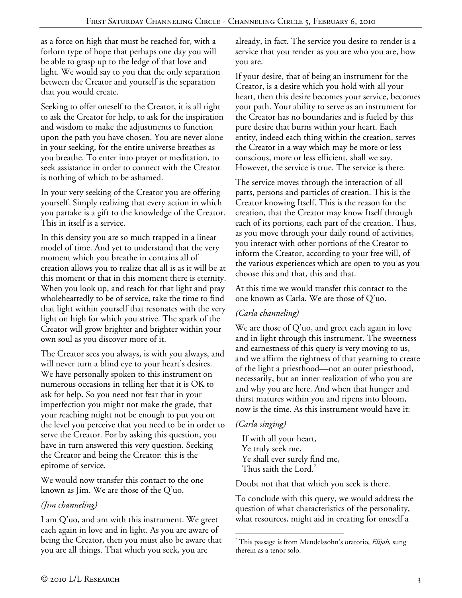as a force on high that must be reached for, with a forlorn type of hope that perhaps one day you will be able to grasp up to the ledge of that love and light. We would say to you that the only separation between the Creator and yourself is the separation that you would create.

Seeking to offer oneself to the Creator, it is all right to ask the Creator for help, to ask for the inspiration and wisdom to make the adjustments to function upon the path you have chosen. You are never alone in your seeking, for the entire universe breathes as you breathe. To enter into prayer or meditation, to seek assistance in order to connect with the Creator is nothing of which to be ashamed.

In your very seeking of the Creator you are offering yourself. Simply realizing that every action in which you partake is a gift to the knowledge of the Creator. This in itself is a service.

In this density you are so much trapped in a linear model of time. And yet to understand that the very moment which you breathe in contains all of creation allows you to realize that all is as it will be at this moment or that in this moment there is eternity. When you look up, and reach for that light and pray wholeheartedly to be of service, take the time to find that light within yourself that resonates with the very light on high for which you strive. The spark of the Creator will grow brighter and brighter within your own soul as you discover more of it.

The Creator sees you always, is with you always, and will never turn a blind eye to your heart's desires. We have personally spoken to this instrument on numerous occasions in telling her that it is OK to ask for help. So you need not fear that in your imperfection you might not make the grade, that your reaching might not be enough to put you on the level you perceive that you need to be in order to serve the Creator. For by asking this question, you have in turn answered this very question. Seeking the Creator and being the Creator: this is the epitome of service.

We would now transfer this contact to the one known as Jim. We are those of the Q'uo.

### *(Jim channeling)*

I am Q'uo, and am with this instrument. We greet each again in love and in light. As you are aware of being the Creator, then you must also be aware that you are all things. That which you seek, you are

already, in fact. The service you desire to render is a service that you render as you are who you are, how you are.

If your desire, that of being an instrument for the Creator, is a desire which you hold with all your heart, then this desire becomes your service, becomes your path. Your ability to serve as an instrument for the Creator has no boundaries and is fueled by this pure desire that burns within your heart. Each entity, indeed each thing within the creation, serves the Creator in a way which may be more or less conscious, more or less efficient, shall we say. However, the service is true. The service is there.

The service moves through the interaction of all parts, persons and particles of creation. This is the Creator knowing Itself. This is the reason for the creation, that the Creator may know Itself through each of its portions, each part of the creation. Thus, as you move through your daily round of activities, you interact with other portions of the Creator to inform the Creator, according to your free will, of the various experiences which are open to you as you choose this and that, this and that.

At this time we would transfer this contact to the one known as Carla. We are those of Q'uo.

### *(Carla channeling)*

We are those of Q'uo, and greet each again in love and in light through this instrument. The sweetness and earnestness of this query is very moving to us, and we affirm the rightness of that yearning to create of the light a priesthood—not an outer priesthood, necessarily, but an inner realization of who you are and why you are here. And when that hunger and thirst matures within you and ripens into bloom, now is the time. As this instrument would have it:

#### *(Carla singing)*

If with all your heart, Ye truly seek me, Ye shall ever surely find me, Thus saith the Lord.<sup>2</sup>

Doubt not that that which you seek is there.

To conclude with this query, we would address the question of what characteristics of the personality, what resources, might aid in creating for oneself a

 $\overline{a}$ 2 This passage is from Mendelssohn's oratorio, *Elijah*, sung therein as a tenor solo.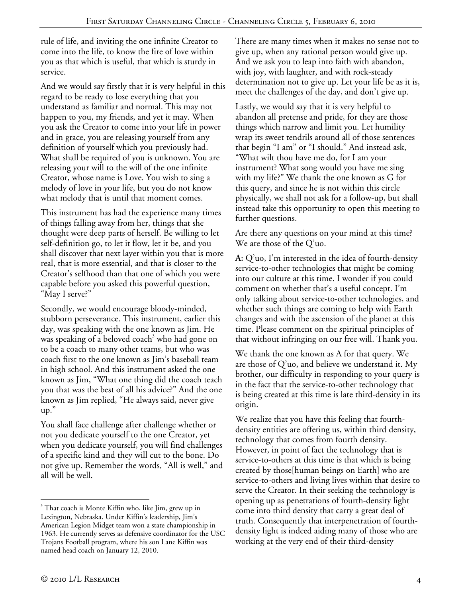rule of life, and inviting the one infinite Creator to come into the life, to know the fire of love within you as that which is useful, that which is sturdy in service.

And we would say firstly that it is very helpful in this regard to be ready to lose everything that you understand as familiar and normal. This may not happen to you, my friends, and yet it may. When you ask the Creator to come into your life in power and in grace, you are releasing yourself from any definition of yourself which you previously had. What shall be required of you is unknown. You are releasing your will to the will of the one infinite Creator, whose name is Love. You wish to sing a melody of love in your life, but you do not know what melody that is until that moment comes.

This instrument has had the experience many times of things falling away from her, things that she thought were deep parts of herself. Be willing to let self-definition go, to let it flow, let it be, and you shall discover that next layer within you that is more real, that is more essential, and that is closer to the Creator's selfhood than that one of which you were capable before you asked this powerful question, "May I serve?"

Secondly, we would encourage bloody-minded, stubborn perseverance. This instrument, earlier this day, was speaking with the one known as Jim. He was speaking of a beloved coach<sup>3</sup> who had gone on to be a coach to many other teams, but who was coach first to the one known as Jim's baseball team in high school. And this instrument asked the one known as Jim, "What one thing did the coach teach you that was the best of all his advice?" And the one known as Jim replied, "He always said, never give up."

You shall face challenge after challenge whether or not you dedicate yourself to the one Creator, yet when you dedicate yourself, you will find challenges of a specific kind and they will cut to the bone. Do not give up. Remember the words, "All is well," and all will be well.

There are many times when it makes no sense not to give up, when any rational person would give up. And we ask you to leap into faith with abandon, with joy, with laughter, and with rock-steady determination not to give up. Let your life be as it is, meet the challenges of the day, and don't give up.

Lastly, we would say that it is very helpful to abandon all pretense and pride, for they are those things which narrow and limit you. Let humility wrap its sweet tendrils around all of those sentences that begin "I am" or "I should." And instead ask, "What wilt thou have me do, for I am your instrument? What song would you have me sing with my life?" We thank the one known as G for this query, and since he is not within this circle physically, we shall not ask for a follow-up, but shall instead take this opportunity to open this meeting to further questions.

Are there any questions on your mind at this time? We are those of the Q'uo.

**A:** Q'uo, I'm interested in the idea of fourth-density service-to-other technologies that might be coming into our culture at this time. I wonder if you could comment on whether that's a useful concept. I'm only talking about service-to-other technologies, and whether such things are coming to help with Earth changes and with the ascension of the planet at this time. Please comment on the spiritual principles of that without infringing on our free will. Thank you.

We thank the one known as A for that query. We are those of  $Q'$ uo, and believe we understand it. My brother, our difficulty in responding to your query is in the fact that the service-to-other technology that is being created at this time is late third-density in its origin.

We realize that you have this feeling that fourthdensity entities are offering us, within third density, technology that comes from fourth density. However, in point of fact the technology that is service-to-others at this time is that which is being created by those[human beings on Earth] who are service-to-others and living lives within that desire to serve the Creator. In their seeking the technology is opening up as penetrations of fourth-density light come into third density that carry a great deal of truth. Consequently that interpenetration of fourthdensity light is indeed aiding many of those who are working at the very end of their third-density

 $\overline{a}$ <sup>3</sup> That coach is Monte Kiffin who, like Jim, grew up in Lexington, Nebraska. Under Kiffin's leadership, Jim's American Legion Midget team won a state championship in 1963. He currently serves as defensive coordinator for the USC Trojans Football program, where his son Lane Kiffin was named head coach on January 12, 2010.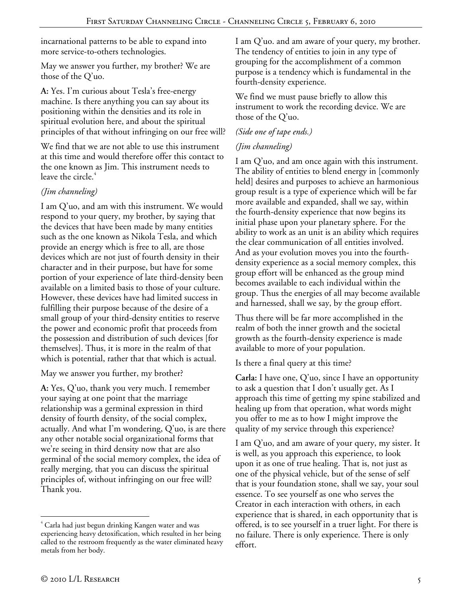incarnational patterns to be able to expand into more service-to-others technologies.

May we answer you further, my brother? We are those of the Q'uo.

**A:** Yes. I'm curious about Tesla's free-energy machine. Is there anything you can say about its positioning within the densities and its role in spiritual evolution here, and about the spiritual principles of that without infringing on our free will?

We find that we are not able to use this instrument at this time and would therefore offer this contact to the one known as Jim. This instrument needs to leave the circle.<sup>4</sup>

# *(Jim channeling)*

I am Q'uo, and am with this instrument. We would respond to your query, my brother, by saying that the devices that have been made by many entities such as the one known as Nikola Tesla, and which provide an energy which is free to all, are those devices which are not just of fourth density in their character and in their purpose, but have for some portion of your experience of late third-density been available on a limited basis to those of your culture. However, these devices have had limited success in fulfilling their purpose because of the desire of a small group of your third-density entities to reserve the power and economic profit that proceeds from the possession and distribution of such devices [for themselves]. Thus, it is more in the realm of that which is potential, rather that that which is actual.

May we answer you further, my brother?

**A:** Yes, Q'uo, thank you very much. I remember your saying at one point that the marriage relationship was a germinal expression in third density of fourth density, of the social complex, actually. And what I'm wondering, Q'uo, is are there any other notable social organizational forms that we're seeing in third density now that are also germinal of the social memory complex, the idea of really merging, that you can discuss the spiritual principles of, without infringing on our free will? Thank you.

I am Q'uo. and am aware of your query, my brother. The tendency of entities to join in any type of grouping for the accomplishment of a common purpose is a tendency which is fundamental in the fourth-density experience.

We find we must pause briefly to allow this instrument to work the recording device. We are those of the Q'uo.

### *(Side one of tape ends.)*

## *(Jim channeling)*

I am Q'uo, and am once again with this instrument. The ability of entities to blend energy in [commonly held] desires and purposes to achieve an harmonious group result is a type of experience which will be far more available and expanded, shall we say, within the fourth-density experience that now begins its initial phase upon your planetary sphere. For the ability to work as an unit is an ability which requires the clear communication of all entities involved. And as your evolution moves you into the fourthdensity experience as a social memory complex, this group effort will be enhanced as the group mind becomes available to each individual within the group. Thus the energies of all may become available and harnessed, shall we say, by the group effort.

Thus there will be far more accomplished in the realm of both the inner growth and the societal growth as the fourth-density experience is made available to more of your population.

Is there a final query at this time?

**Carla:** I have one, Q'uo, since I have an opportunity to ask a question that I don't usually get. As I approach this time of getting my spine stabilized and healing up from that operation, what words might you offer to me as to how I might improve the quality of my service through this experience?

I am Q'uo, and am aware of your query, my sister. It is well, as you approach this experience, to look upon it as one of true healing. That is, not just as one of the physical vehicle, but of the sense of self that is your foundation stone, shall we say, your soul essence. To see yourself as one who serves the Creator in each interaction with others, in each experience that is shared, in each opportunity that is offered, is to see yourself in a truer light. For there is no failure. There is only experience. There is only effort.

 $\overline{a}$ 

<sup>4</sup> Carla had just begun drinking Kangen water and was experiencing heavy detoxification, which resulted in her being called to the restroom frequently as the water eliminated heavy metals from her body.